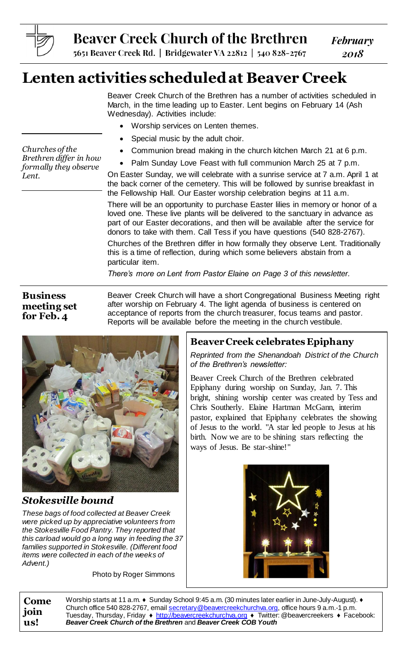

# **Beaver Creek Church of the Brethren**

**February** 2018

5651 Beaver Creek Rd. | Bridgewater VA 22812 | 540 828-2767

## **Lenten activities scheduled at Beaver Creek**

Beaver Creek Church of the Brethren has a number of activities scheduled in March, in the time leading up to Easter. Lent begins on February 14 (Ash Wednesday). Activities include:

- Worship services on Lenten themes.
- Special music by the adult choir.
- Communion bread making in the church kitchen March 21 at 6 p.m.
- Palm Sunday Love Feast with full communion March 25 at 7 p.m.

On Easter Sunday, we will celebrate with a sunrise service at 7 a.m. April 1 at the back corner of the cemetery. This will be followed by sunrise breakfast in the Fellowship Hall. Our Easter worship celebration begins at 11 a.m.

There will be an opportunity to purchase Easter lilies in memory or honor of a loved one. These live plants will be delivered to the sanctuary in advance as part of our Easter decorations, and then will be available after the service for donors to take with them. Call Tess if you have questions (540 828-2767).

Churches of the Brethren differ in how formally they observe Lent. Traditionally this is a time of reflection, during which some believers abstain from a particular item.

*There's more on Lent from Pastor Elaine on Page 3 of this newsletter.*

## **Business meeting set for Feb. 4**

Beaver Creek Church will have a short Congregational Business Meeting right after worship on February 4. The light agenda of business is centered on acceptance of reports from the church treasurer, focus teams and pastor. Reports will be available before the meeting in the church vestibule.



## *Stokesville bound*

*These bags of food collected at Beaver Creek were picked up by appreciative volunteers from the Stokesville Food Pantry. They reported that this carload would go a long way in feeding the 37 families supported in Stokesville. (Different food items were collected in each of the weeks of Advent.)*

Photo by Roger Simmons

## **Beaver Creek celebrates Epiphany**

*Reprinted from the Shenandoah District of the Church of the Brethren's newsletter:*

Beaver Creek Church of the Brethren celebrated Epiphany during worship on Sunday, Jan. 7. This bright, shining worship center was created by Tess and Chris Southerly. Elaine Hartman McGann, interim pastor, explained that Epiphany celebrates the showing of Jesus to the world. "A star led people to Jesus at his birth. Now we are to be shining stars reflecting the ways of Jesus. Be star-shine!"



**Come join us!** Worship starts at 11 a.m. ♦ Sunday School 9:45 a.m. (30 minutes later earlier in June-July-August). ♦ Church office 540 828-2767, emai[l secretary@beavercreekchurchva.org](mailto:secretary@beavercreekchurchva.org), office hours 9 a.m.-1 p.m. Tuesday, Thursday, Friday ♦ [http://beavercreekchurchva.org](http://beavercreekchurchva.org/) ♦ Twitter: @beavercreekers ♦ Facebook: *Beaver Creek Church of the Brethren* and *Beaver Creek COB Youth*

*Churches of the Brethren differ in how formally they observe Lent.*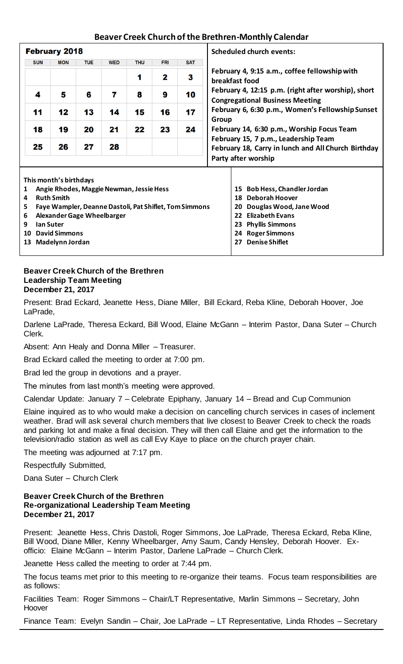## **Beaver Creek Church of the Brethren-Monthly Calendar**

| <b>February 2018</b>                                                                                              |            |                                                        |            |                             |            |                               |            |                                                                                                                                                                                                                                                  | <b>Scheduled church events:</b>                                 |  |
|-------------------------------------------------------------------------------------------------------------------|------------|--------------------------------------------------------|------------|-----------------------------|------------|-------------------------------|------------|--------------------------------------------------------------------------------------------------------------------------------------------------------------------------------------------------------------------------------------------------|-----------------------------------------------------------------|--|
|                                                                                                                   | <b>SUN</b> | <b>MON</b>                                             | <b>TUE</b> | <b>WED</b>                  | <b>THU</b> | <b>FRI</b>                    | <b>SAT</b> |                                                                                                                                                                                                                                                  |                                                                 |  |
|                                                                                                                   |            |                                                        |            |                             | 1          | $\mathbf{2}$                  | 3          |                                                                                                                                                                                                                                                  | February 4, 9:15 a.m., coffee fellowship with<br>breakfast food |  |
|                                                                                                                   | 4          | 5                                                      | 6          | 7                           | 8          | 9                             | 10         | February 4, 12:15 p.m. (right after worship), short<br><b>Congregational Business Meeting</b><br>February 6, 6:30 p.m., Women's Fellowship Sunset<br>Group<br>February 14, 6:30 p.m., Worship Focus Team<br>February 15, 7 p.m., Leadership Team |                                                                 |  |
|                                                                                                                   | 11         | 12                                                     | 13         | 14                          | 15         | 16                            | 17         |                                                                                                                                                                                                                                                  |                                                                 |  |
|                                                                                                                   | 18         | 19                                                     | 20         | 21                          | 22         | 23                            | 24         |                                                                                                                                                                                                                                                  |                                                                 |  |
|                                                                                                                   | 25         | 26                                                     | 27         | 28                          |            |                               |            | February 18, Carry in lunch and All Church Birthday                                                                                                                                                                                              |                                                                 |  |
|                                                                                                                   |            |                                                        |            |                             |            | Party after worship           |            |                                                                                                                                                                                                                                                  |                                                                 |  |
| This month's birthdays<br>Angie Rhodes, Maggie Newman, Jessie Hess<br><b>Bob Hess, Chandler Jordan</b><br>1<br>15 |            |                                                        |            |                             |            |                               |            |                                                                                                                                                                                                                                                  |                                                                 |  |
| <b>Ruth Smith</b><br>4                                                                                            |            |                                                        |            |                             |            |                               |            | <b>Deborah Hoover</b><br>18                                                                                                                                                                                                                      |                                                                 |  |
| 5                                                                                                                 |            | Faye Wampler, Deanne Dastoli, Pat Shiflet, Tom Simmons |            |                             |            | Douglas Wood, Jane Wood<br>20 |            |                                                                                                                                                                                                                                                  |                                                                 |  |
| 6                                                                                                                 |            | <b>Alexander Gage Wheelbarger</b>                      |            |                             |            | <b>Elizabeth Evans</b><br>22  |            |                                                                                                                                                                                                                                                  |                                                                 |  |
| 9<br>lan Suter                                                                                                    |            |                                                        |            |                             |            |                               |            |                                                                                                                                                                                                                                                  | <b>Phyllis Simmons</b><br>23                                    |  |
| 10                                                                                                                |            | <b>David Simmons</b>                                   |            |                             |            | <b>Roger Simmons</b><br>24.   |            |                                                                                                                                                                                                                                                  |                                                                 |  |
| 13                                                                                                                |            | Madelynn Jordan                                        |            | <b>Denise Shiflet</b><br>27 |            |                               |            |                                                                                                                                                                                                                                                  |                                                                 |  |

#### **Beaver Creek Church of the Brethren Leadership Team Meeting December 21, 2017**

Present: Brad Eckard, Jeanette Hess, Diane Miller, Bill Eckard, Reba Kline, Deborah Hoover, Joe LaPrade,

Darlene LaPrade, Theresa Eckard, Bill Wood, Elaine McGann – Interim Pastor, Dana Suter – Church Clerk.

Absent: Ann Healy and Donna Miller – Treasurer.

Brad Eckard called the meeting to order at 7:00 pm.

Brad led the group in devotions and a prayer.

The minutes from last month's meeting were approved.

Calendar Update: January 7 – Celebrate Epiphany, January 14 – Bread and Cup Communion

Elaine inquired as to who would make a decision on cancelling church services in cases of inclement weather. Brad will ask several church members that live closest to Beaver Creek to check the roads and parking lot and make a final decision. They will then call Elaine and get the information to the television/radio station as well as call Evy Kaye to place on the church prayer chain.

The meeting was adjourned at 7:17 pm.

Respectfully Submitted,

Dana Suter – Church Clerk

#### **Beaver Creek Church of the Brethren Re-organizational Leadership Team Meeting December 21, 2017**

Present: Jeanette Hess, Chris Dastoli, Roger Simmons, Joe LaPrade, Theresa Eckard, Reba Kline, Bill Wood, Diane Miller, Kenny Wheelbarger, Amy Saum, Candy Hensley, Deborah Hoover. Exofficio: Elaine McGann – Interim Pastor, Darlene LaPrade – Church Clerk.

Jeanette Hess called the meeting to order at 7:44 pm.

The focus teams met prior to this meeting to re-organize their teams. Focus team responsibilities are as follows:

Facilities Team: Roger Simmons – Chair/LT Representative, Marlin Simmons – Secretary, John Hoover

Finance Team: Evelyn Sandin – Chair, Joe LaPrade – LT Representative, Linda Rhodes – Secretary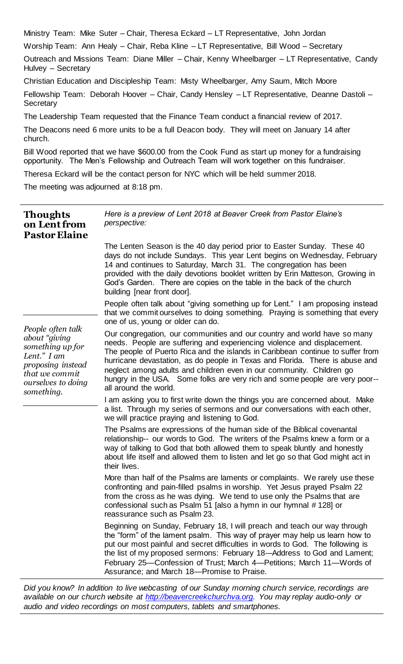Ministry Team: Mike Suter – Chair, Theresa Eckard – LT Representative, John Jordan

Worship Team: Ann Healy – Chair, Reba Kline – LT Representative, Bill Wood – Secretary

Outreach and Missions Team: Diane Miller – Chair, Kenny Wheelbarger – LT Representative, Candy Hulvey – Secretary

Christian Education and Discipleship Team: Misty Wheelbarger, Amy Saum, Mitch Moore

Fellowship Team: Deborah Hoover – Chair, Candy Hensley – LT Representative, Deanne Dastoli – **Secretary** 

The Leadership Team requested that the Finance Team conduct a financial review of 2017.

The Deacons need 6 more units to be a full Deacon body. They will meet on January 14 after church.

Bill Wood reported that we have \$600.00 from the Cook Fund as start up money for a fundraising opportunity. The Men's Fellowship and Outreach Team will work together on this fundraiser.

Theresa Eckard will be the contact person for NYC which will be held summer 2018.

The meeting was adjourned at 8:18 pm.

| <b>Thoughts</b><br>on Lent from<br><b>Pastor Elaine</b>                                                                                          | Here is a preview of Lent 2018 at Beaver Creek from Pastor Elaine's<br>perspective:                                                                                                                                                                                                                                                                                                                                                                                                                   |  |  |  |
|--------------------------------------------------------------------------------------------------------------------------------------------------|-------------------------------------------------------------------------------------------------------------------------------------------------------------------------------------------------------------------------------------------------------------------------------------------------------------------------------------------------------------------------------------------------------------------------------------------------------------------------------------------------------|--|--|--|
|                                                                                                                                                  | The Lenten Season is the 40 day period prior to Easter Sunday. These 40<br>days do not include Sundays. This year Lent begins on Wednesday, February<br>14 and continues to Saturday, March 31. The congregation has been<br>provided with the daily devotions booklet written by Erin Matteson, Growing in<br>God's Garden. There are copies on the table in the back of the church<br>building [near front door].                                                                                   |  |  |  |
|                                                                                                                                                  | People often talk about "giving something up for Lent." I am proposing instead<br>that we commit ourselves to doing something. Praying is something that every<br>one of us, young or older can do.                                                                                                                                                                                                                                                                                                   |  |  |  |
| People often talk<br>about "giving<br>something up for<br>Lent." I am<br>proposing instead<br>that we commit<br>ourselves to doing<br>something. | Our congregation, our communities and our country and world have so many<br>needs. People are suffering and experiencing violence and displacement.<br>The people of Puerto Rica and the islands in Caribbean continue to suffer from<br>hurricane devastation, as do people in Texas and Florida. There is abuse and<br>neglect among adults and children even in our community. Children go<br>hungry in the USA. Some folks are very rich and some people are very poor--<br>all around the world. |  |  |  |
|                                                                                                                                                  | I am asking you to first write down the things you are concerned about. Make<br>a list. Through my series of sermons and our conversations with each other,<br>we will practice praying and listening to God.                                                                                                                                                                                                                                                                                         |  |  |  |
|                                                                                                                                                  | The Psalms are expressions of the human side of the Biblical covenantal<br>relationship-- our words to God. The writers of the Psalms knew a form or a<br>way of talking to God that both allowed them to speak bluntly and honestly<br>about life itself and allowed them to listen and let go so that God might act in<br>their lives.                                                                                                                                                              |  |  |  |
|                                                                                                                                                  | More than half of the Psalms are laments or complaints. We rarely use these<br>confronting and pain-filled psalms in worship. Yet Jesus prayed Psalm 22<br>from the cross as he was dying. We tend to use only the Psalms that are<br>confessional such as Psalm 51 [also a hymn in our hymnal # 128] or<br>reassurance such as Psalm 23.                                                                                                                                                             |  |  |  |
|                                                                                                                                                  | Beginning on Sunday, February 18, I will preach and teach our way through<br>the "form" of the lament psalm. This way of prayer may help us learn how to<br>put our most painful and secret difficulties in words to God. The following is<br>the list of my proposed sermons: February 18--Address to God and Lament;<br>February 25—Confession of Trust; March 4—Petitions; March 11—Words of<br>Assurance; and March 18-Promise to Praise.                                                         |  |  |  |

*Did you know? In addition to live webcasting of our Sunday morning church service, recordings are available on our church website at [http://beavercreekchurchva.org.](http://beavercreekchurchva.org/) You may replay audio-only or audio and video recordings on most computers, tablets and smartphones.*